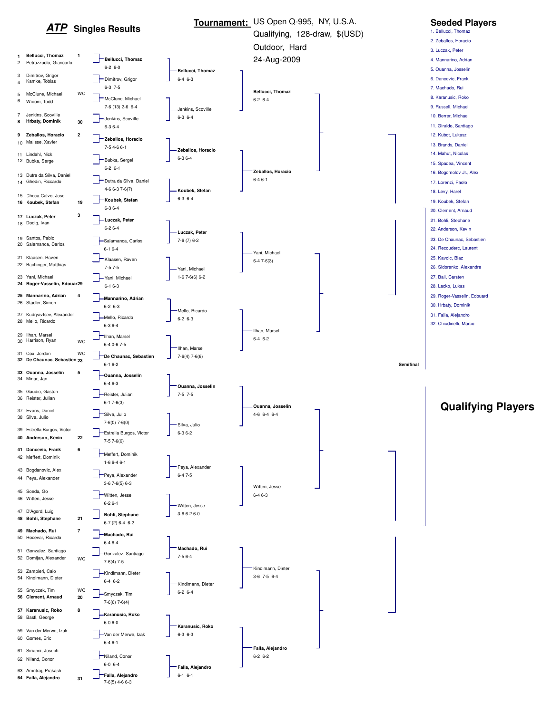